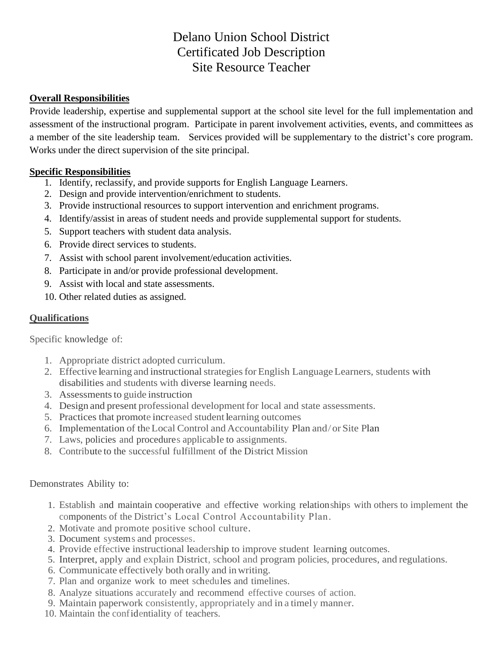# Delano Union School District Certificated Job Description Site Resource Teacher

## **Overall Responsibilities**

Provide leadership, expertise and supplemental support at the school site level for the full implementation and assessment of the instructional program. Participate in parent involvement activities, events, and committees as a member of the site leadership team. Services provided will be supplementary to the district's core program. Works under the direct supervision of the site principal.

## **Specific Responsibilities**

- 1. Identify, reclassify, and provide supports for English Language Learners.
- 2. Design and provide intervention/enrichment to students.
- 3. Provide instructional resources to support intervention and enrichment programs.
- 4. Identify/assist in areas of student needs and provide supplemental support for students.
- 5. Support teachers with student data analysis.
- 6. Provide direct services to students.
- 7. Assist with school parent involvement/education activities.
- 8. Participate in and/or provide professional development.
- 9. Assist with local and state assessments.
- 10. Other related duties as assigned.

# **Qualifications**

Specific knowledge of:

- 1. Appropriate district adopted curriculum.
- 2. Effective learning and instructional strategies for English Language Learners, students with disabilities and students with diverse learning needs.
- 3. Assessments to guide instruction
- 4. Design and present professional development for local and state assessments.
- 5. Practices that promote increased student learning outcomes
- 6. Implementation of theLocal Control and Accountability Plan and/or Site Plan
- 7. Laws, policies and procedures applicable to assignments.
- 8. Contribute to the successful fulfillment of the District Mission

#### Demonstrates Ability to:

- 1. Establish and maintain cooperative and effective working relationships with others to implement the components of the District's Local Control Accountability Plan.
- 2. Motivate and promote positive school culture.
- 3. Document systems and processes.
- 4. Provide effective instructional leadership to improve student learning outcomes.
- 5. Interpret, apply and explain District, school and program policies, procedures, and regulations.
- 6. Communicate effectively both orally and inwriting.
- 7. Plan and organize work to meet schedules and timelines.
- 8. Analyze situations accurately and recommend effective courses of action.
- 9. Maintain paperwork consistently, appropriately and in a timely manner.
- 10. Maintain the confidentiality of teachers.